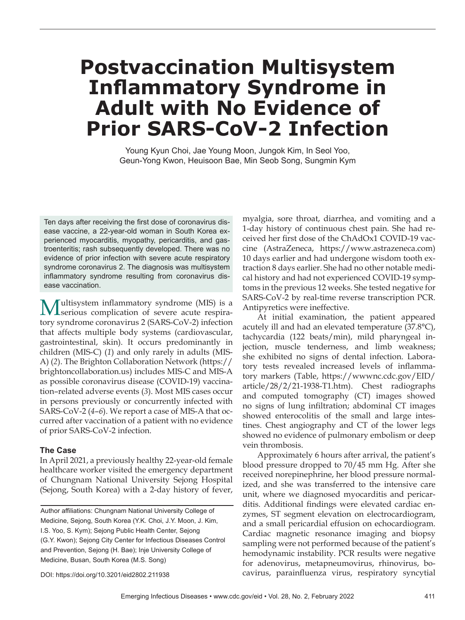# **Postvaccination Multisystem Inflammatory Syndrome in Adult with No Evidence of Prior SARS-CoV-2 Infection**

Young Kyun Choi, Jae Young Moon, Jungok Kim, In Seol Yoo, Geun-Yong Kwon, Heuisoon Bae, Min Seob Song, Sungmin Kym

Ten days after receiving the first dose of coronavirus disease vaccine, a 22-year-old woman in South Korea experienced myocarditis, myopathy, pericarditis, and gastroenteritis; rash subsequently developed. There was no evidence of prior infection with severe acute respiratory syndrome coronavirus 2. The diagnosis was multisystem inflammatory syndrome resulting from coronavirus disease vaccination.

**Multisystem inflammatory syndrome (MIS) is a** serious complication of severe acute respiratory syndrome coronavirus 2 (SARS-CoV-2) infection that affects multiple body systems (cardiovascular, gastrointestinal, skin). It occurs predominantly in children (MIS-C) (*1*) and only rarely in adults (MIS-A) (*2*). The Brighton Collaboration Network (https:// brightoncollaboration.us) includes MIS-C and MIS-A as possible coronavirus disease (COVID-19) vaccination–related adverse events (*3*). Most MIS cases occur in persons previously or concurrently infected with SARS-CoV-2 (*4*–*6*). We report a case of MIS-A that occurred after vaccination of a patient with no evidence of prior SARS-CoV-2 infection.

### **The Case**

In April 2021, a previously healthy 22-year-old female healthcare worker visited the emergency department of Chungnam National University Sejong Hospital (Sejong, South Korea) with a 2-day history of fever,

Author affiliations: Chungnam National University College of Medicine, Sejong, South Korea (Y.K. Choi, J.Y. Moon, J. Kim, I.S. Yoo, S. Kym); Sejong Public Health Center, Sejong (G.Y. Kwon); Sejong City Center for Infectious Diseases Control and Prevention, Sejong (H. Bae); Inje University College of Medicine, Busan, South Korea (M.S. Song)

myalgia, sore throat, diarrhea, and vomiting and a 1-day history of continuous chest pain. She had received her first dose of the ChAdOx1 COVID-19 vaccine (AstraZeneca, https://www.astrazeneca.com) 10 days earlier and had undergone wisdom tooth extraction 8 days earlier. She had no other notable medical history and had not experienced COVID-19 symptoms in the previous 12 weeks. She tested negative for SARS-CoV-2 by real-time reverse transcription PCR. Antipyretics were ineffective.

At initial examination, the patient appeared acutely ill and had an elevated temperature (37.8°C), tachycardia (122 beats/min), mild pharyngeal injection, muscle tenderness, and limb weakness; she exhibited no signs of dental infection. Laboratory tests revealed increased levels of inflammatory markers (Table, https://wwwnc.cdc.gov/EID/ article/28/2/21-1938-T1.htm). Chest radiographs and computed tomography (CT) images showed no signs of lung infiltration; abdominal CT images showed enterocolitis of the small and large intestines. Chest angiography and CT of the lower legs showed no evidence of pulmonary embolism or deep vein thrombosis.

Approximately 6 hours after arrival, the patient's blood pressure dropped to 70/45 mm Hg. After she received norepinephrine, her blood pressure normalized, and she was transferred to the intensive care unit, where we diagnosed myocarditis and pericarditis. Additional findings were elevated cardiac enzymes, ST segment elevation on electrocardiogram, and a small pericardial effusion on echocardiogram. Cardiac magnetic resonance imaging and biopsy sampling were not performed because of the patient's hemodynamic instability. PCR results were negative for adenovirus, metapneumovirus, rhinovirus, bocavirus, parainfluenza virus, respiratory syncytial

DOI: https://doi.org/10.3201/eid2802.211938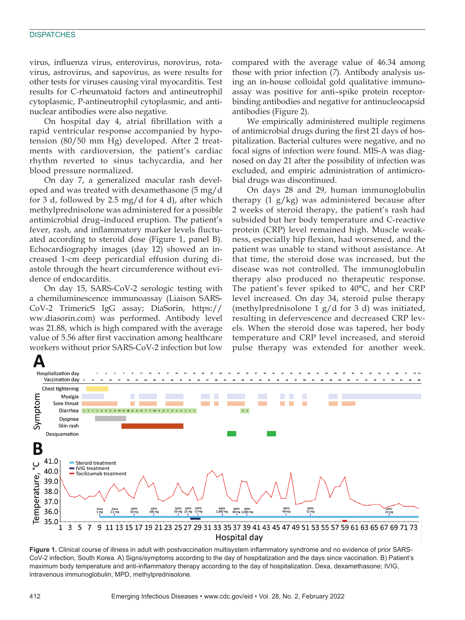#### **DISPATCHES**

virus, influenza virus, enterovirus, norovirus, rotavirus, astrovirus, and sapovirus, as were results for other tests for viruses causing viral myocarditis. Test results for C-rheumatoid factors and antineutrophil cytoplasmic, P-antineutrophil cytoplasmic, and antinuclear antibodies were also negative.

On hospital day 4, atrial fibrillation with a rapid ventricular response accompanied by hypotension (80/50 mm Hg) developed. After 2 treatments with cardioversion, the patient's cardiac rhythm reverted to sinus tachycardia, and her blood pressure normalized.

On day 7, a generalized macular rash developed and was treated with dexamethasone (5 mg/d for 3 d, followed by 2.5 mg/d for 4 d), after which methylprednisolone was administered for a possible antimicrobial drug–induced eruption. The patient's fever, rash, and inflammatory marker levels fluctuated according to steroid dose (Figure 1, panel B). Echocardiography images (day 12) showed an increased 1-cm deep pericardial effusion during diastole through the heart circumference without evidence of endocarditis.

On day 15, SARS-CoV-2 serologic testing with a chemiluminescence immunoassay (Liaison SARS-CoV-2 TrimericS IgG assay; DiaSorin, https:// ww.diasorin.com) was performed. Antibody level was 21.88, which is high compared with the average value of 5.56 after first vaccination among healthcare workers without prior SARS-CoV-2 infection but low

compared with the average value of 46.34 among those with prior infection (*7*). Antibody analysis using an in-house colloidal gold qualitative immunoassay was positive for anti–spike protein receptorbinding antibodies and negative for antinucleocapsid antibodies (Figure 2).

We empirically administered multiple regimens of antimicrobial drugs during the first 21 days of hospitalization. Bacterial cultures were negative, and no focal signs of infection were found. MIS-A was diagnosed on day 21 after the possibility of infection was excluded, and empiric administration of antimicrobial drugs was discontinued.

On days 28 and 29, human immunoglobulin therapy (1 g/kg) was administered because after 2 weeks of steroid therapy, the patient's rash had subsided but her body temperature and C-reactive protein (CRP) level remained high. Muscle weakness, especially hip flexion, had worsened, and the patient was unable to stand without assistance. At that time, the steroid dose was increased, but the disease was not controlled. The immunoglobulin therapy also produced no therapeutic response. The patient's fever spiked to 40°C, and her CRP level increased. On day 34, steroid pulse therapy (methylprednisolone 1 g/d for 3 d) was initiated, resulting in defervescence and decreased CRP levels. When the steroid dose was tapered, her body temperature and CRP level increased, and steroid pulse therapy was extended for another week.



**Figure 1.** Clinical course of illness in adult with postvaccination multisystem inflammatory syndrome and no evidence of prior SARS-CoV-2 infection, South Korea. A) Signs/symptoms according to the day of hospitalization and the days since vaccination. B) Patient's maximum body temperature and anti-inflammatory therapy according to the day of hospitalization. Dexa, dexamethasone; IVIG, intravenous immunoglobulin; MPD, methylprednisolone.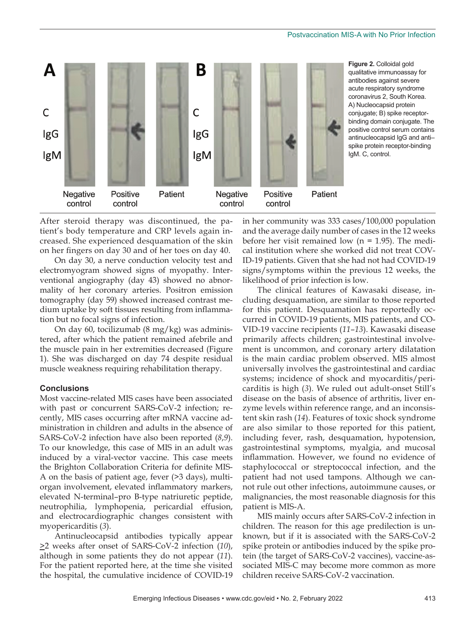

**Figure 2.** Colloidal gold qualitative immunoassay for antibodies against severe acute respiratory syndrome coronavirus 2, South Korea. A) Nucleocapsid protein conjugate; B) spike receptorbinding domain conjugate. The positive control serum contains antinucleocapsid IgG and anti– spike protein receptor-binding IgM. C, control.

After steroid therapy was discontinued, the patient's body temperature and CRP levels again increased. She experienced desquamation of the skin on her fingers on day 30 and of her toes on day 40.

On day 30, a nerve conduction velocity test and electromyogram showed signs of myopathy. Interventional angiography (day 43) showed no abnormality of her coronary arteries. Positron emission tomography (day 59) showed increased contrast medium uptake by soft tissues resulting from inflammation but no focal signs of infection.

On day 60, tocilizumab (8 mg/kg) was administered, after which the patient remained afebrile and the muscle pain in her extremities decreased (Figure 1). She was discharged on day 74 despite residual muscle weakness requiring rehabilitation therapy.

#### **Conclusions**

Most vaccine-related MIS cases have been associated with past or concurrent SARS-CoV-2 infection; recently, MIS cases occurring after mRNA vaccine administration in children and adults in the absence of SARS-CoV-2 infection have also been reported (*8*,*9*). To our knowledge, this case of MIS in an adult was induced by a viral-vector vaccine. This case meets the Brighton Collaboration Criteria for definite MIS-A on the basis of patient age, fever (>3 days), multiorgan involvement, elevated inflammatory markers, elevated N-terminal–pro B-type natriuretic peptide, neutrophilia, lymphopenia, pericardial effusion, and electrocardiographic changes consistent with myopericarditis (*3*).

Antinucleocapsid antibodies typically appear >2 weeks after onset of SARS-CoV-2 infection (*10*), although in some patients they do not appear (*11*). For the patient reported here, at the time she visited the hospital, the cumulative incidence of COVID-19 in her community was 333 cases/100,000 population and the average daily number of cases in the 12 weeks before her visit remained low  $(n = 1.95)$ . The medical institution where she worked did not treat COV-ID-19 patients. Given that she had not had COVID-19 signs/symptoms within the previous 12 weeks, the likelihood of prior infection is low.

The clinical features of Kawasaki disease, including desquamation, are similar to those reported for this patient. Desquamation has reportedly occurred in COVID-19 patients, MIS patients, and CO-VID-19 vaccine recipients (*11*–*13*). Kawasaki disease primarily affects children; gastrointestinal involvement is uncommon, and coronary artery dilatation is the main cardiac problem observed. MIS almost universally involves the gastrointestinal and cardiac systems; incidence of shock and myocarditis/pericarditis is high (*3*). We ruled out adult-onset Still's disease on the basis of absence of arthritis, liver enzyme levels within reference range, and an inconsistent skin rash (*14*). Features of toxic shock syndrome are also similar to those reported for this patient, including fever, rash, desquamation, hypotension, gastrointestinal symptoms, myalgia, and mucosal inflammation. However, we found no evidence of staphylococcal or streptococcal infection, and the patient had not used tampons. Although we cannot rule out other infections, autoimmune causes, or malignancies, the most reasonable diagnosis for this patient is MIS-A.

MIS mainly occurs after SARS-CoV-2 infection in children. The reason for this age predilection is unknown, but if it is associated with the SARS-CoV-2 spike protein or antibodies induced by the spike protein (the target of SARS-CoV-2 vaccines), vaccine-associated MIS-C may become more common as more children receive SARS-CoV-2 vaccination.